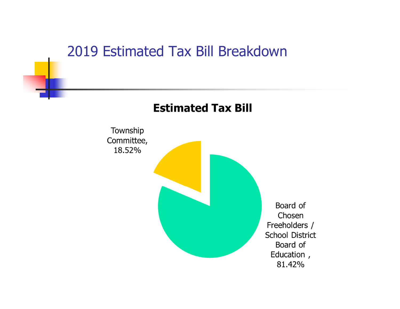#### 2019 Estimated Tax Bill Breakdown

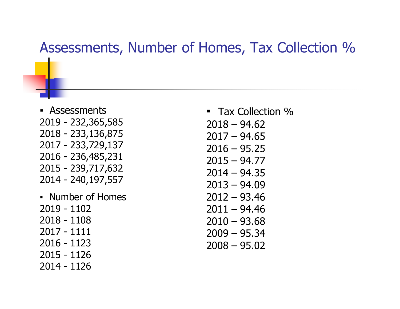#### Assessments, Number of Homes, Tax Collection %

- Assessments 2019 - 232,365,585 2018 - 233,136,875 2017 - 233,729,137 2016 - 236,485,231 2015 - 239,717,632 2014 - 240,197,557
- Number of Homes 2019 - 1102 2018 - 1108 2017 - 1111 2016 - 1123 2015 - 1126 2014 - 1126

■ Tax Collection %  $2018 - 94.62$  $2017 - 94.65$  $2016 - 95.25$  $2015 - 94.77$  $2014 - 94.35$  $2013 - 94.09$ 2012 – 93.46  $2011 - 94.46$  $2010 - 93.68$ 2009 – 95.34 2008 – 95.02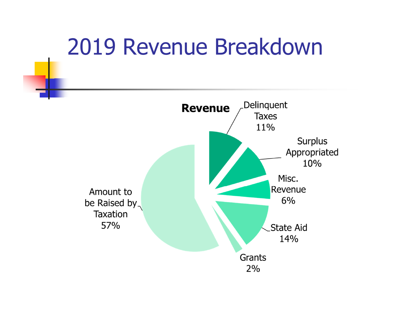# 2019 Revenue Breakdown

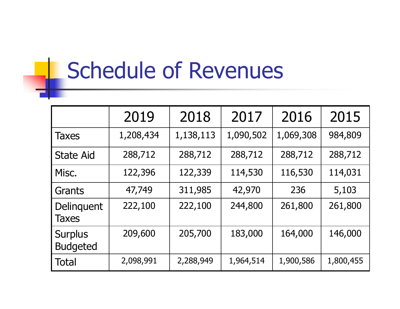# Schedule of Revenues

|                                   | 2019      | 2018      | 2017      | 2016      | 2015      |
|-----------------------------------|-----------|-----------|-----------|-----------|-----------|
| <b>Taxes</b>                      | 1,208,434 | 1,138,113 | 1,090,502 | 1,069,308 | 984,809   |
| <b>State Aid</b>                  | 288,712   | 288,712   | 288,712   | 288,712   | 288,712   |
| Misc.                             | 122,396   | 122,339   | 114,530   | 116,530   | 114,031   |
| Grants                            | 47,749    | 311,985   | 42,970    | 236       | 5,103     |
| Delinquent<br><b>Taxes</b>        | 222,100   | 222,100   | 244,800   | 261,800   | 261,800   |
| <b>Surplus</b><br><b>Budgeted</b> | 209,600   | 205,700   | 183,000   | 164,000   | 146,000   |
| Total                             | 2,098,991 | 2,288,949 | 1,964,514 | 1,900,586 | 1,800,455 |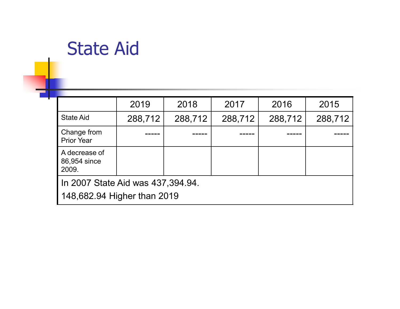## State Aid

|                                                                   | 2019    | 2018    | 2017    | 2016    | 2015    |  |  |
|-------------------------------------------------------------------|---------|---------|---------|---------|---------|--|--|
| <b>State Aid</b>                                                  | 288,712 | 288,712 | 288,712 | 288,712 | 288,712 |  |  |
| Change from<br><b>Prior Year</b>                                  |         |         |         |         |         |  |  |
| A decrease of<br>86,954 since<br>2009.                            |         |         |         |         |         |  |  |
| In 2007 State Aid was 437, 394.94.<br>148,682.94 Higher than 2019 |         |         |         |         |         |  |  |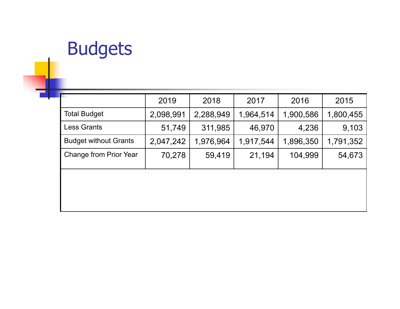# Budgets

|                               | 2019      | 2018      | 2017      | 2016      | 2015      |
|-------------------------------|-----------|-----------|-----------|-----------|-----------|
| <b>Total Budget</b>           | 2,098,991 | 2,288,949 | 1,964,514 | 1,900,586 | 1,800,455 |
| <b>Less Grants</b>            | 51,749    | 311,985   | 46,970    | 4,236     | 9,103     |
| <b>Budget without Grants</b>  | 2,047,242 | 1,976,964 | 1,917,544 | 1,896,350 | 1,791,352 |
| <b>Change from Prior Year</b> | 70,278    | 59,419    | 21,194    | 104,999   | 54,673    |
|                               |           |           |           |           |           |
|                               |           |           |           |           |           |
|                               |           |           |           |           |           |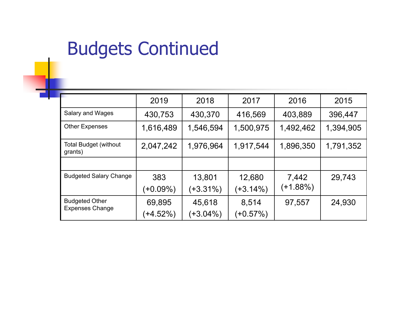## Budgets Continued

|                                                 | 2019        | 2018        | 2017      | 2016      | 2015      |
|-------------------------------------------------|-------------|-------------|-----------|-----------|-----------|
| Salary and Wages                                | 430,753     | 430,370     | 416,569   | 403,889   | 396,447   |
| <b>Other Expenses</b>                           | 1,616,489   | 1,546,594   | 1,500,975 | 1,492,462 | 1,394,905 |
| <b>Total Budget (without</b><br>grants)         | 2,047,242   | 1,976,964   | 1,917,544 | 1,896,350 | 1,791,352 |
|                                                 |             |             |           |           |           |
| <b>Budgeted Salary Change</b>                   | 383         | 13,801      | 12,680    | 7,442     | 29,743    |
|                                                 | $(+0.09\%)$ | $(+3.31\%)$ | (+3.14%)  | (+1.88%)  |           |
| <b>Budgeted Other</b><br><b>Expenses Change</b> | 69,895      | 45,618      | 8,514     | 97,557    | 24,930    |
|                                                 | $(+4.52%)$  | $(+3.04\%)$ | (+0.57%)  |           |           |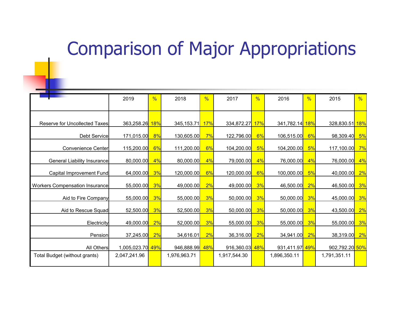#### Comparison of Major Appropriations

|                                       | 2019             | %          | 2018         | %   | 2017           | %  | 2016           | %  | 2015           | %          |
|---------------------------------------|------------------|------------|--------------|-----|----------------|----|----------------|----|----------------|------------|
|                                       |                  |            |              |     |                |    |                |    |                |            |
| Reserve for Uncollected Taxes         | 363,258.26       | <b>18%</b> | 345, 153.71  | 17% | 334,872.27 17% |    | 341,782.14 18% |    | 328,830.51     | <b>18%</b> |
| Debt Service                          | 171,015.00       | 8%         | 130,605.00   | 7%  | 122,796.00     | 6% | 106,515.00     | 6% | 98,309.40      | 5%         |
| Convenience Center                    | 115,200.00       | 6%         | 111,200.00   | 6%  | 104,200.00     | 5% | 104,200.00     | 5% | 117,100.00     | 7%         |
| General Liability Insurance           | 80,000.00        | 4%         | 80,000.00    | 4%  | 79,000.00      | 4% | 76,000.00      | 4% | 76,000.00      | 4%         |
| Capital Improvement Fund              | 64,000.00        | 3%         | 120,000.00   | 6%  | 120,000.00     | 6% | 100,000.00     | 5% | 40,000.00      | 2%         |
| <b>Workers Compensation Insurance</b> | 55,000.00        | 3%         | 49,000.00    | 2%  | 49,000.00      | 3% | 46,500.00      | 2% | 46,500.00      | 3%         |
| Aid to Fire Company                   | 55,000.00        | 3%         | 55,000.00    | 3%  | 50,000.00      | 3% | 50,000.00      | 3% | 45,000.00      | 3%         |
| Aid to Rescue Squad                   | 52,500.00        | 3%         | 52,500.00    | 3%  | 50,000.00      | 3% | 50,000.00      | 3% | 43,500.00      | 2%         |
| Electricity                           | 49,000.00        | 2%         | 52,000.00    | 3%  | 55,000.00      | 3% | 55,000.00      | 3% | 55,000.00      | 3%         |
| Pension                               | 37,245.00        | 2%         | 34,616.01    | 2%  | 36,316.00      | 2% | 34,941.00      | 2% | 38,319.00      | 2%         |
| All Others                            | 1,005,023.70 49% |            | 946,888.99   | 48% | 916,360.03 48% |    | 931,411.97 49% |    | 902,792.20 50% |            |
| Total Budget (without grants)         | 2,047,241.96     |            | 1,976,963.71 |     | 1,917,544.30   |    | 1,896,350.11   |    | 1,791,351.11   |            |
|                                       |                  |            |              |     |                |    |                |    |                |            |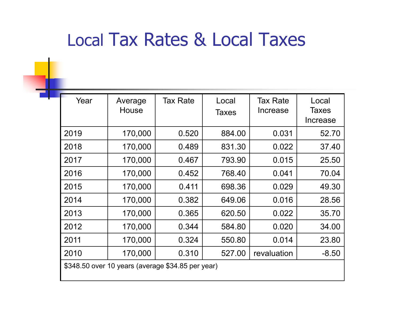## Local Tax Rates & Local Taxes

| Year                                              | Average<br>House | <b>Tax Rate</b> | Local<br><b>Taxes</b> | <b>Tax Rate</b><br>Increase | Local<br><b>Taxes</b><br>Increase |  |
|---------------------------------------------------|------------------|-----------------|-----------------------|-----------------------------|-----------------------------------|--|
| 2019                                              | 170,000          | 0.520           | 884.00                | 0.031                       | 52.70                             |  |
| 2018                                              | 170,000          | 0.489           | 831.30                | 0.022                       | 37.40                             |  |
| 2017                                              | 170,000          | 0.467           | 793.90                | 0.015                       | 25.50                             |  |
| 2016                                              | 170,000          | 0.452           | 768.40                | 0.041                       | 70.04                             |  |
| 2015                                              | 170,000          | 0.411           | 698.36                | 0.029                       | 49.30                             |  |
| 2014                                              | 170,000          | 0.382           | 649.06                | 0.016                       | 28.56                             |  |
| 2013                                              | 170,000          | 0.365           | 620.50                | 0.022                       | 35.70                             |  |
| 2012                                              | 170,000          | 0.344           | 584.80                | 0.020                       | 34.00                             |  |
| 2011                                              | 170,000          | 0.324           | 550.80                | 0.014                       | 23.80                             |  |
| 2010                                              | 170,000          | 0.310           | 527.00                | revaluation                 | $-8.50$                           |  |
| \$348.50 over 10 years (average \$34.85 per year) |                  |                 |                       |                             |                                   |  |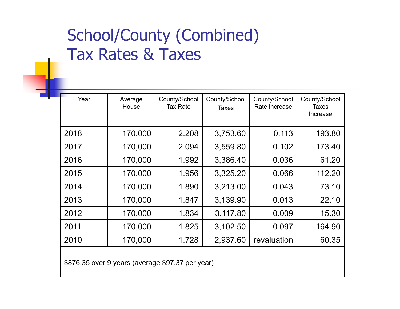#### School/County (Combined) Tax Rates & Taxes

| Year | Average<br>House | County/School<br>Tax Rate | County/School<br><b>Taxes</b> | County/School<br>Rate Increase | County/School<br>Taxes<br>Increase |
|------|------------------|---------------------------|-------------------------------|--------------------------------|------------------------------------|
| 2018 | 170,000          | 2.208                     | 3,753.60                      | 0.113                          | 193.80                             |
| 2017 | 170,000          | 2.094                     | 3,559.80                      | 0.102                          | 173.40                             |
| 2016 | 170,000          | 1.992                     | 3,386.40                      | 0.036                          | 61.20                              |
| 2015 | 170,000          | 1.956                     | 3,325.20                      | 0.066                          | 112.20                             |
| 2014 | 170,000          | 1.890                     | 3,213.00                      | 0.043                          | 73.10                              |
| 2013 | 170,000          | 1.847                     | 3,139.90                      | 0.013                          | 22.10                              |
| 2012 | 170,000          | 1.834                     | 3,117.80                      | 0.009                          | 15.30                              |
| 2011 | 170,000          | 1.825                     | 3,102.50                      | 0.097                          | 164.90                             |
| 2010 | 170,000          | 1.728                     | 2,937.60                      | revaluation                    | 60.35                              |
|      |                  |                           |                               |                                |                                    |

\$876.35 over 9 years (average \$97.37 per year)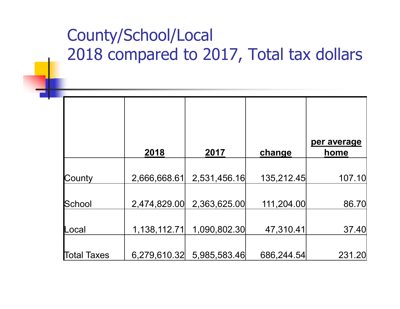#### County/School/Local 2018 compared to 2017, Total tax dollars

|             | 2018         | 2017         | change     | per average<br>home |
|-------------|--------------|--------------|------------|---------------------|
| County      | 2,666,668.61 | 2,531,456.16 | 135,212.45 | 107.10              |
| School      | 2,474,829.00 | 2,363,625.00 | 111,204.00 | 86.70               |
| _ocal       | 1,138,112.71 | 1,090,802.30 | 47,310.41  | 37.40               |
| Пotal Taxes | 6,279,610.32 | 5,985,583.46 | 686,244.54 | 231.20              |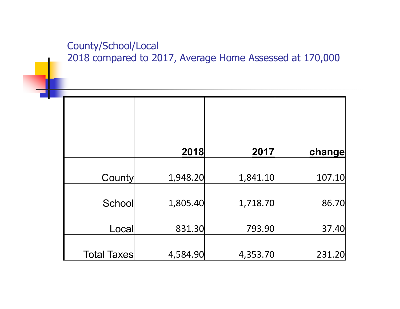#### County/School/Local 2018 compared to 2017, Average Home Assessed at 170,000

|                    | 2018     | 2017     | change |
|--------------------|----------|----------|--------|
|                    |          |          |        |
| County             | 1,948.20 | 1,841.10 | 107.10 |
|                    |          |          |        |
| School             | 1,805.40 | 1,718.70 | 86.70  |
|                    |          |          |        |
| Local              | 831.30   | 793.90   | 37.40  |
|                    |          |          |        |
| <b>Total Taxes</b> | 4,584.90 | 4,353.70 | 231.20 |